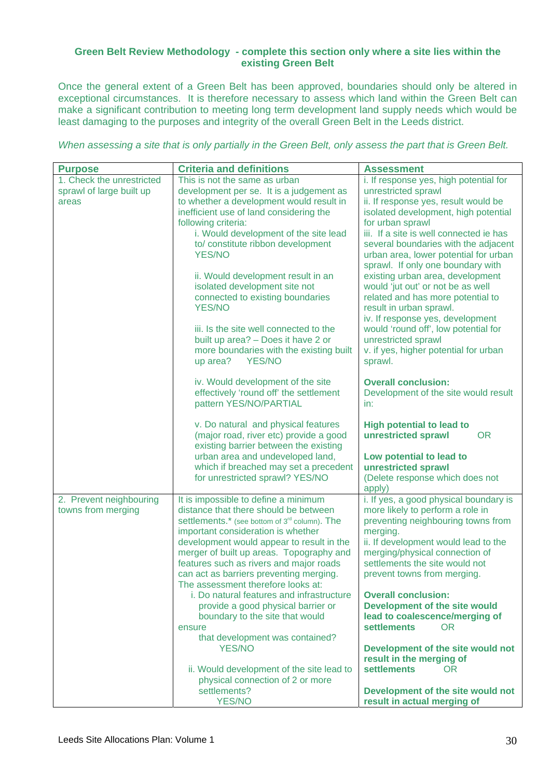## **Green Belt Review Methodology - complete this section only where a site lies within the existing Green Belt**

Once the general extent of a Green Belt has been approved, boundaries should only be altered in exceptional circumstances. It is therefore necessary to assess which land within the Green Belt can make a significant contribution to meeting long term development land supply needs which would be least damaging to the purposes and integrity of the overall Green Belt in the Leeds district.

*When assessing a site that is only partially in the Green Belt, only assess the part that is Green Belt.* 

| <b>Purpose</b>            | <b>Criteria and definitions</b>                                           | <b>Assessment</b>                                                      |
|---------------------------|---------------------------------------------------------------------------|------------------------------------------------------------------------|
| 1. Check the unrestricted | This is not the same as urban                                             | i. If response yes, high potential for                                 |
| sprawl of large built up  | development per se. It is a judgement as                                  | unrestricted sprawl                                                    |
| areas                     | to whether a development would result in                                  | ii. If response yes, result would be                                   |
|                           | inefficient use of land considering the                                   | isolated development, high potential                                   |
|                           | following criteria:                                                       | for urban sprawl                                                       |
|                           | i. Would development of the site lead                                     | iii. If a site is well connected ie has                                |
|                           | to/constitute ribbon development                                          | several boundaries with the adjacent                                   |
|                           | <b>YES/NO</b>                                                             | urban area, lower potential for urban                                  |
|                           |                                                                           | sprawl. If only one boundary with                                      |
|                           | ii. Would development result in an                                        | existing urban area, development                                       |
|                           | isolated development site not<br>connected to existing boundaries         | would 'jut out' or not be as well<br>related and has more potential to |
|                           | <b>YES/NO</b>                                                             | result in urban sprawl.                                                |
|                           |                                                                           | iv. If response yes, development                                       |
|                           | iii. Is the site well connected to the                                    | would 'round off', low potential for                                   |
|                           | built up area? - Does it have 2 or                                        | unrestricted sprawl                                                    |
|                           | more boundaries with the existing built                                   | v. if yes, higher potential for urban                                  |
|                           | <b>YES/NO</b><br>up area?                                                 | sprawl.                                                                |
|                           |                                                                           |                                                                        |
|                           | iv. Would development of the site                                         | <b>Overall conclusion:</b>                                             |
|                           | effectively 'round off' the settlement                                    | Development of the site would result                                   |
|                           | pattern YES/NO/PARTIAL                                                    | in:                                                                    |
|                           |                                                                           |                                                                        |
|                           | v. Do natural and physical features                                       | <b>High potential to lead to</b>                                       |
|                           | (major road, river etc) provide a good                                    | <b>OR</b><br>unrestricted sprawl                                       |
|                           | existing barrier between the existing                                     |                                                                        |
|                           | urban area and undeveloped land,<br>which if breached may set a precedent | Low potential to lead to<br>unrestricted sprawl                        |
|                           | for unrestricted sprawl? YES/NO                                           | (Delete response which does not                                        |
|                           |                                                                           | apply)                                                                 |
| 2. Prevent neighbouring   | It is impossible to define a minimum                                      | i. If yes, a good physical boundary is                                 |
| towns from merging        | distance that there should be between                                     | more likely to perform a role in                                       |
|                           | settlements.* (see bottom of 3 <sup>rd</sup> column). The                 | preventing neighbouring towns from                                     |
|                           | important consideration is whether                                        | merging.                                                               |
|                           | development would appear to result in the                                 | ii. If development would lead to the                                   |
|                           | merger of built up areas. Topography and                                  | merging/physical connection of                                         |
|                           | features such as rivers and major roads                                   | settlements the site would not                                         |
|                           | can act as barriers preventing merging.                                   | prevent towns from merging.                                            |
|                           | The assessment therefore looks at:                                        |                                                                        |
|                           | i. Do natural features and infrastructure                                 | <b>Overall conclusion:</b>                                             |
|                           | provide a good physical barrier or                                        | Development of the site would                                          |
|                           | boundary to the site that would                                           | lead to coalescence/merging of                                         |
|                           | ensure                                                                    | <b>settlements</b><br>OR.                                              |
|                           | that development was contained?<br><b>YES/NO</b>                          | Development of the site would not                                      |
|                           |                                                                           | result in the merging of                                               |
|                           | ii. Would development of the site lead to                                 | <b>settlements</b><br><b>OR</b>                                        |
|                           | physical connection of 2 or more                                          |                                                                        |
|                           | settlements?                                                              | Development of the site would not                                      |
|                           | <b>YES/NO</b>                                                             | result in actual merging of                                            |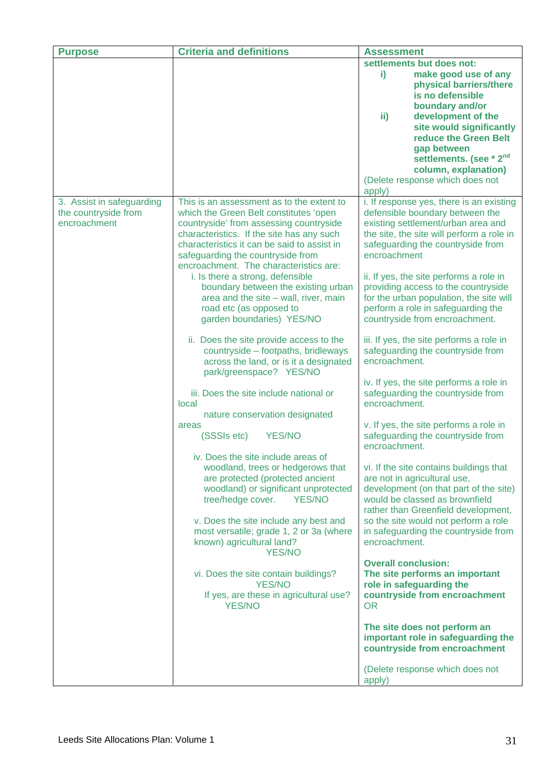| <b>Purpose</b>            | <b>Criteria and definitions</b>                                                  | <b>Assessment</b>                                                             |
|---------------------------|----------------------------------------------------------------------------------|-------------------------------------------------------------------------------|
|                           |                                                                                  | settlements but does not:                                                     |
|                           |                                                                                  | i)<br>make good use of any                                                    |
|                           |                                                                                  | physical barriers/there                                                       |
|                           |                                                                                  | is no defensible                                                              |
|                           |                                                                                  | boundary and/or                                                               |
|                           |                                                                                  | ii)<br>development of the                                                     |
|                           |                                                                                  | site would significantly<br>reduce the Green Belt                             |
|                           |                                                                                  | gap between                                                                   |
|                           |                                                                                  | settlements. (see * 2 <sup>nd</sup>                                           |
|                           |                                                                                  | column, explanation)                                                          |
|                           |                                                                                  | (Delete response which does not                                               |
|                           |                                                                                  | apply)                                                                        |
| 3. Assist in safeguarding | This is an assessment as to the extent to                                        | i. If response yes, there is an existing                                      |
| the countryside from      | which the Green Belt constitutes 'open                                           | defensible boundary between the                                               |
| encroachment              | countryside' from assessing countryside                                          | existing settlement/urban area and                                            |
|                           | characteristics. If the site has any such                                        | the site, the site will perform a role in                                     |
|                           | characteristics it can be said to assist in                                      | safeguarding the countryside from<br>encroachment                             |
|                           | safeguarding the countryside from<br>encroachment. The characteristics are:      |                                                                               |
|                           | i. Is there a strong, defensible                                                 | ii. If yes, the site performs a role in                                       |
|                           | boundary between the existing urban                                              | providing access to the countryside                                           |
|                           | area and the site $-$ wall, river, main                                          | for the urban population, the site will                                       |
|                           | road etc (as opposed to                                                          | perform a role in safeguarding the                                            |
|                           | garden boundaries) YES/NO                                                        | countryside from encroachment.                                                |
|                           |                                                                                  |                                                                               |
|                           | ii. Does the site provide access to the<br>countryside - footpaths, bridleways   | iii. If yes, the site performs a role in<br>safeguarding the countryside from |
|                           | across the land, or is it a designated                                           | encroachment.                                                                 |
|                           | park/greenspace? YES/NO                                                          |                                                                               |
|                           |                                                                                  | iv. If yes, the site performs a role in                                       |
|                           | iii. Does the site include national or                                           | safeguarding the countryside from                                             |
|                           | local                                                                            | encroachment.                                                                 |
|                           | nature conservation designated                                                   |                                                                               |
|                           | areas<br><b>YES/NO</b><br>(SSSIs etc)                                            | v. If yes, the site performs a role in<br>safeguarding the countryside from   |
|                           |                                                                                  | encroachment.                                                                 |
|                           | iv. Does the site include areas of                                               |                                                                               |
|                           | woodland, trees or hedgerows that                                                | vi. If the site contains buildings that                                       |
|                           | are protected (protected ancient                                                 | are not in agricultural use,                                                  |
|                           | woodland) or significant unprotected                                             | development (on that part of the site)                                        |
|                           | tree/hedge cover.<br><b>YES/NO</b>                                               | would be classed as brownfield                                                |
|                           |                                                                                  | rather than Greenfield development,                                           |
|                           | v. Does the site include any best and<br>most versatile; grade 1, 2 or 3a (where | so the site would not perform a role<br>in safeguarding the countryside from  |
|                           | known) agricultural land?                                                        | encroachment.                                                                 |
|                           | <b>YES/NO</b>                                                                    |                                                                               |
|                           |                                                                                  | <b>Overall conclusion:</b>                                                    |
|                           | vi. Does the site contain buildings?                                             | The site performs an important                                                |
|                           | <b>YES/NO</b>                                                                    | role in safeguarding the                                                      |
|                           | If yes, are these in agricultural use?                                           | countryside from encroachment                                                 |
|                           | <b>YES/NO</b>                                                                    | <b>OR</b>                                                                     |
|                           |                                                                                  | The site does not perform an                                                  |
|                           |                                                                                  | important role in safeguarding the                                            |
|                           |                                                                                  | countryside from encroachment                                                 |
|                           |                                                                                  |                                                                               |
|                           |                                                                                  | (Delete response which does not                                               |
|                           |                                                                                  | apply)                                                                        |